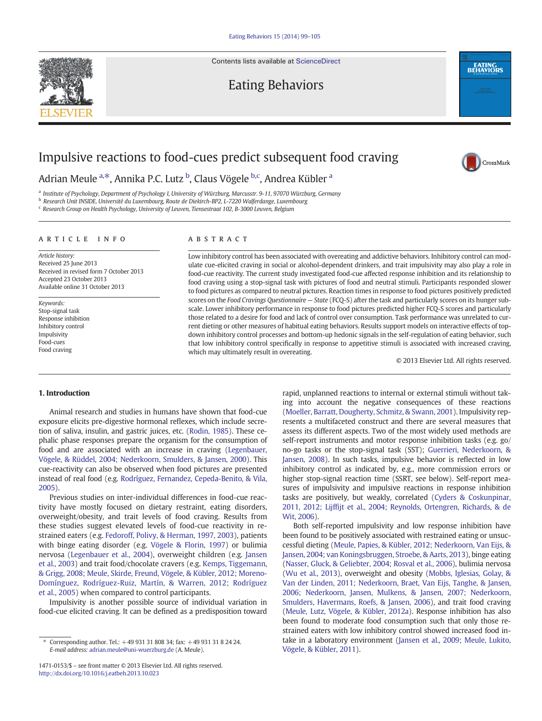Contents lists available at [ScienceDirect](http://www.sciencedirect.com/science/journal/14710153)



Eating Behaviors

## Impulsive reactions to food-cues predict subsequent food craving

Adrian Meule <sup>a,\*</sup>, Annika P.C. Lutz <sup>b</sup>, Claus Vögele <sup>b,c</sup>, Andrea Kübler <sup>a</sup>

<sup>a</sup> Institute of Psychology, Department of Psychology I, University of Würzburg, Marcusstr. 9-11, 97070 Würzburg, Germany

<sup>b</sup> Research Unit INSIDE, Université du Luxembourg, Route de Diekirch-BP2, L-7220 Walferdange, Luxembourg

<sup>c</sup> Research Group on Health Psychology, University of Leuven, Tiensestraat 102, B-3000 Leuven, Belgium

### article info abstract

Article history: Received 25 June 2013 Received in revised form 7 October 2013 Accepted 23 October 2013 Available online 31 October 2013

Keywords: Stop-signal task Response inhibition Inhibitory control Impulsivity Food-cues Food craving

Low inhibitory control has been associated with overeating and addictive behaviors. Inhibitory control can modulate cue-elicited craving in social or alcohol-dependent drinkers, and trait impulsivity may also play a role in food-cue reactivity. The current study investigated food-cue affected response inhibition and its relationship to food craving using a stop-signal task with pictures of food and neutral stimuli. Participants responded slower to food pictures as compared to neutral pictures. Reaction times in response to food pictures positively predicted scores on the Food Cravings Questionnaire — State (FCQ-S) after the task and particularly scores on its hunger subscale. Lower inhibitory performance in response to food pictures predicted higher FCQ-S scores and particularly those related to a desire for food and lack of control over consumption. Task performance was unrelated to current dieting or other measures of habitual eating behaviors. Results support models on interactive effects of topdown inhibitory control processes and bottom-up hedonic signals in the self-regulation of eating behavior, such that low inhibitory control specifically in response to appetitive stimuli is associated with increased craving, which may ultimately result in overeating.

© 2013 Elsevier Ltd. All rights reserved.

**EATING**<br>**BEHAVIORS** 

CrossMark

### 1. Introduction

Animal research and studies in humans have shown that food-cue exposure elicits pre-digestive hormonal reflexes, which include secretion of saliva, insulin, and gastric juices, etc. [\(Rodin, 1985](#page--1-0)). These cephalic phase responses prepare the organism for the consumption of food and are associated with an increase in craving ([Legenbauer,](#page--1-0) [Vögele, & Rüddel, 2004; Nederkoorn, Smulders, & Jansen, 2000\)](#page--1-0). This cue-reactivity can also be observed when food pictures are presented instead of real food (e.g. [Rodríguez, Fernandez, Cepeda-Benito, & Vila,](#page--1-0) [2005](#page--1-0)).

Previous studies on inter-individual differences in food-cue reactivity have mostly focused on dietary restraint, eating disorders, overweight/obesity, and trait levels of food craving. Results from these studies suggest elevated levels of food-cue reactivity in restrained eaters (e.g. [Fedoroff, Polivy, & Herman, 1997, 2003\)](#page--1-0), patients with binge eating disorder (e.g. [Vögele & Florin, 1997\)](#page--1-0) or bulimia nervosa ([Legenbauer et al., 2004\)](#page--1-0), overweight children (e.g. [Jansen](#page--1-0) [et al., 2003](#page--1-0)) and trait food/chocolate cravers (e.g. [Kemps, Tiggemann,](#page--1-0) [& Grigg, 2008; Meule, Skirde, Freund, Vögele, & Kübler, 2012; Moreno-](#page--1-0)[Domínguez, Rodríguez-Ruiz, Martín, & Warren, 2012; Rodríguez](#page--1-0) [et al., 2005\)](#page--1-0) when compared to control participants.

Impulsivity is another possible source of individual variation in food-cue elicited craving. It can be defined as a predisposition toward rapid, unplanned reactions to internal or external stimuli without taking into account the negative consequences of these reactions [\(Moeller, Barratt, Dougherty, Schmitz, & Swann, 2001\)](#page--1-0). Impulsivity represents a multifaceted construct and there are several measures that assess its different aspects. Two of the most widely used methods are self-report instruments and motor response inhibition tasks (e.g. go/ no-go tasks or the stop-signal task (SST); [Guerrieri, Nederkoorn, &](#page--1-0) [Jansen, 2008\)](#page--1-0). In such tasks, impulsive behavior is reflected in low inhibitory control as indicated by, e.g., more commission errors or higher stop-signal reaction time (SSRT, see below). Self-report measures of impulsivity and impulsive reactions in response inhibition tasks are positively, but weakly, correlated ([Cyders & Coskunpinar,](#page--1-0) 2011, 2012; Lijffi[jt et al., 2004; Reynolds, Ortengren, Richards, & de](#page--1-0) [Wit, 2006](#page--1-0)).

Both self-reported impulsivity and low response inhibition have been found to be positively associated with restrained eating or unsuccessful dieting [\(Meule, Papies, & Kübler, 2012; Nederkoorn, Van Eijs, &](#page--1-0) [Jansen, 2004; van Koningsbruggen, Stroebe, & Aarts, 2013\)](#page--1-0), binge eating [\(Nasser, Gluck, & Geliebter, 2004; Rosval et al., 2006](#page--1-0)), bulimia nervosa [\(Wu et al., 2013\)](#page--1-0), overweight and obesity [\(Mobbs, Iglesias, Golay, &](#page--1-0) [Van der Linden, 2011; Nederkoorn, Braet, Van Eijs, Tanghe, & Jansen,](#page--1-0) [2006; Nederkoorn, Jansen, Mulkens, & Jansen, 2007; Nederkoorn,](#page--1-0) [Smulders, Havermans, Roefs, & Jansen, 2006\)](#page--1-0), and trait food craving [\(Meule, Lutz, Vögele, & Kübler, 2012a](#page--1-0)). Response inhibition has also been found to moderate food consumption such that only those restrained eaters with low inhibitory control showed increased food intake in a laboratory environment [\(Jansen et al., 2009; Meule, Lukito,](#page--1-0) [Vögele, & Kübler, 2011](#page--1-0)).

<sup>⁎</sup> Corresponding author. Tel.: +49 931 31 808 34; fax: +49 931 31 8 24 24. E-mail address: [adrian.meule@uni-wuerzburg.de](mailto:adrian.meule@uni-wuerzburg.de) (A. Meule).

<sup>1471-0153/\$</sup> – see front matter © 2013 Elsevier Ltd. All rights reserved. <http://dx.doi.org/10.1016/j.eatbeh.2013.10.023>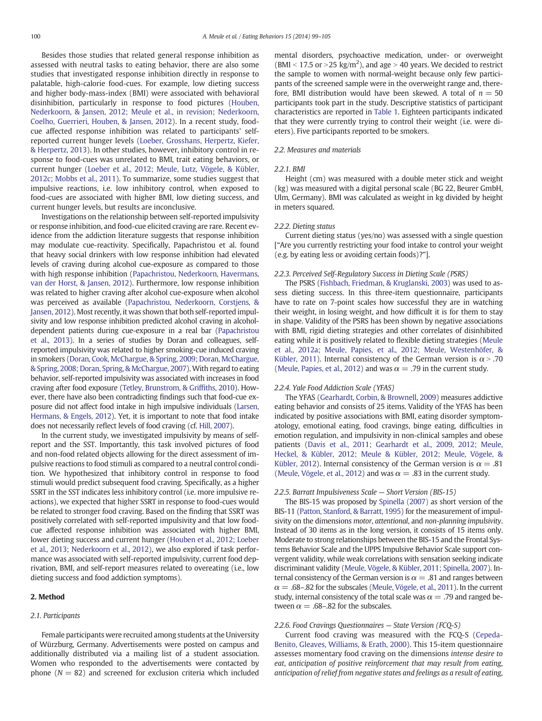Besides those studies that related general response inhibition as assessed with neutral tasks to eating behavior, there are also some studies that investigated response inhibition directly in response to palatable, high-calorie food-cues. For example, low dieting success and higher body-mass-index (BMI) were associated with behavioral disinhibition, particularly in response to food pictures [\(Houben,](#page--1-0) [Nederkoorn, & Jansen, 2012; Meule et al., in revision; Nederkoorn,](#page--1-0) [Coelho, Guerrieri, Houben, & Jansen, 2012](#page--1-0)). In a recent study, foodcue affected response inhibition was related to participants' selfreported current hunger levels ([Loeber, Grosshans, Herpertz, Kiefer,](#page--1-0) [& Herpertz, 2013](#page--1-0)). In other studies, however, inhibitory control in response to food-cues was unrelated to BMI, trait eating behaviors, or current hunger [\(Loeber et al., 2012; Meule, Lutz, Vögele, & Kübler,](#page--1-0) [2012c; Mobbs et al., 2011](#page--1-0)). To summarize, some studies suggest that impulsive reactions, i.e. low inhibitory control, when exposed to food-cues are associated with higher BMI, low dieting success, and current hunger levels, but results are inconclusive.

Investigations on the relationship between self-reported impulsivity or response inhibition, and food-cue elicited craving are rare. Recent evidence from the addiction literature suggests that response inhibition may modulate cue-reactivity. Specifically, Papachristou et al. found that heavy social drinkers with low response inhibition had elevated levels of craving during alcohol cue-exposure as compared to those with high response inhibition [\(Papachristou, Nederkoorn, Havermans,](#page--1-0) [van der Horst, & Jansen, 2012\)](#page--1-0). Furthermore, low response inhibition was related to higher craving after alcohol cue-exposure when alcohol was perceived as available ([Papachristou, Nederkoorn, Corstjens, &](#page--1-0) [Jansen, 2012\)](#page--1-0). Most recently, it was shown that both self-reported impulsivity and low response inhibition predicted alcohol craving in alcoholdependent patients during cue-exposure in a real bar ([Papachristou](#page--1-0) [et al., 2013](#page--1-0)). In a series of studies by Doran and colleagues, selfreported impulsivity was related to higher smoking-cue induced craving in smokers [\(Doran, Cook, McChargue, & Spring, 2009; Doran, McChargue,](#page--1-0) [& Spring, 2008; Doran, Spring, & McChargue, 2007\)](#page--1-0). With regard to eating behavior, self-reported impulsivity was associated with increases in food craving after food exposure ([Tetley, Brunstrom, & Grif](#page--1-0)fiths, 2010). However, there have also been contradicting findings such that food-cue exposure did not affect food intake in high impulsive individuals [\(Larsen,](#page--1-0) [Hermans, & Engels, 2012](#page--1-0)). Yet, it is important to note that food intake does not necessarily reflect levels of food craving (cf. [Hill, 2007](#page--1-0)).

In the current study, we investigated impulsivity by means of selfreport and the SST. Importantly, this task involved pictures of food and non-food related objects allowing for the direct assessment of impulsive reactions to food stimuli as compared to a neutral control condition. We hypothesized that inhibitory control in response to food stimuli would predict subsequent food craving. Specifically, as a higher SSRT in the SST indicates less inhibitory control (i.e. more impulsive reactions), we expected that higher SSRT in response to food-cues would be related to stronger food craving. Based on the finding that SSRT was positively correlated with self-reported impulsivity and that low foodcue affected response inhibition was associated with higher BMI, lower dieting success and current hunger ([Houben et al., 2012; Loeber](#page--1-0) [et al., 2013; Nederkoorn et al., 2012](#page--1-0)), we also explored if task performance was associated with self-reported impulsivity, current food deprivation, BMI, and self-report measures related to overeating (i.e., low dieting success and food addiction symptoms).

#### 2. Method

#### 2.1. Participants

Female participants were recruited among students at the University of Würzburg, Germany. Advertisements were posted on campus and additionally distributed via a mailing list of a student association. Women who responded to the advertisements were contacted by phone  $(N = 82)$  and screened for exclusion criteria which included mental disorders, psychoactive medication, under- or overweight (BMI < 17.5 or > 25 kg/m<sup>2</sup>), and age > 40 years. We decided to restrict the sample to women with normal-weight because only few participants of the screened sample were in the overweight range and, therefore, BMI distribution would have been skewed. A total of  $n = 50$ participants took part in the study. Descriptive statistics of participant characteristics are reported in [Table 1](#page--1-0). Eighteen participants indicated that they were currently trying to control their weight (i.e. were dieters). Five participants reported to be smokers.

#### 2.2. Measures and materials

#### 2.2.1. BMI

Height (cm) was measured with a double meter stick and weight (kg) was measured with a digital personal scale (BG 22, Beurer GmbH, Ulm, Germany). BMI was calculated as weight in kg divided by height in meters squared.

#### 2.2.2. Dieting status

Current dieting status (yes/no) was assessed with a single question ["Are you currently restricting your food intake to control your weight (e.g. by eating less or avoiding certain foods)?"].

#### 2.2.3. Perceived Self-Regulatory Success in Dieting Scale (PSRS)

The PSRS [\(Fishbach, Friedman, & Kruglanski, 2003\)](#page--1-0) was used to assess dieting success. In this three-item questionnaire, participants have to rate on 7-point scales how successful they are in watching their weight, in losing weight, and how difficult it is for them to stay in shape. Validity of the PSRS has been shown by negative associations with BMI, rigid dieting strategies and other correlates of disinhibited eating while it is positively related to flexible dieting strategies [\(Meule](#page--1-0) [et al., 2012a; Meule, Papies, et al., 2012; Meule, Westenhöfer, &](#page--1-0) [Kübler, 2011](#page--1-0)). Internal consistency of the German version is  $\alpha$  > .70 [\(Meule, Papies, et al., 2012](#page--1-0)) and was  $\alpha = .79$  in the current study.

#### 2.2.4. Yale Food Addiction Scale (YFAS)

The YFAS [\(Gearhardt, Corbin, & Brownell, 2009](#page--1-0)) measures addictive eating behavior and consists of 25 items. Validity of the YFAS has been indicated by positive associations with BMI, eating disorder symptomatology, emotional eating, food cravings, binge eating, difficulties in emotion regulation, and impulsivity in non-clinical samples and obese patients [\(Davis et al., 2011; Gearhardt et al., 2009, 2012; Meule,](#page--1-0) [Heckel, & Kübler, 2012; Meule & Kübler, 2012; Meule, Vögele, &](#page--1-0) [Kübler, 2012\)](#page--1-0). Internal consistency of the German version is  $\alpha = .81$ [\(Meule, Vögele, et al., 2012\)](#page--1-0) and was  $\alpha = .83$  in the current study.

#### 2.2.5. Barratt Impulsiveness Scale — Short Version (BIS-15)

The BIS-15 was proposed by [Spinella \(2007\)](#page--1-0) as short version of the BIS-11 [\(Patton, Stanford, & Barratt, 1995\)](#page--1-0) for the measurement of impulsivity on the dimensions motor, attentional, and non-planning impulsivity. Instead of 30 items as in the long version, it consists of 15 items only. Moderate to strong relationships between the BIS-15 and the Frontal Systems Behavior Scale and the UPPS Impulsive Behavior Scale support convergent validity, while weak correlations with sensation seeking indicate discriminant validity ([Meule, Vögele, & Kübler, 2011; Spinella, 2007\)](#page--1-0). Internal consistency of the German version is  $\alpha = .81$  and ranges between  $\alpha = .68$ –.82 for the subscales [\(Meule, Vögele, et al., 2011\)](#page--1-0). In the current study, internal consistency of the total scale was  $\alpha = .79$  and ranged between  $\alpha = .68$ –.82 for the subscales.

#### 2.2.6. Food Cravings Questionnaires — State Version (FCQ-S)

Current food craving was measured with the FCQ-S [\(Cepeda-](#page--1-0)[Benito, Gleaves, Williams, & Erath, 2000\)](#page--1-0). This 15-item questionnaire assesses momentary food craving on the dimensions intense desire to eat, anticipation of positive reinforcement that may result from eating, anticipation of relief from negative states and feelings as a result of eating,